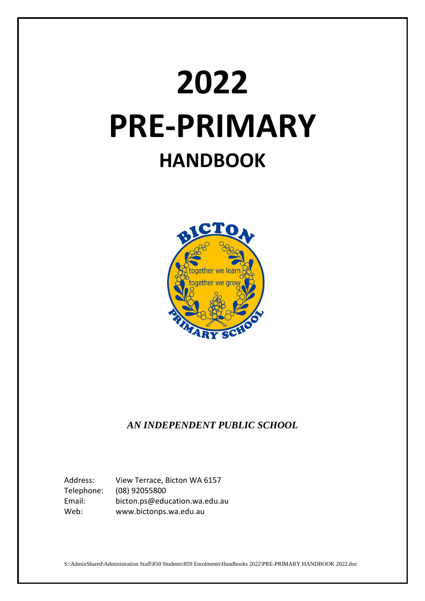# **2022 PRE-PRIMARY HANDBOOK**



# *AN INDEPENDENT PUBLIC SCHOOL*

Address: View Terrace, Bicton WA 6157 Telephone: (08) 92055800 Email: bicton.ps@education.wa.edu.au Web: www.bictonps.wa.edu.au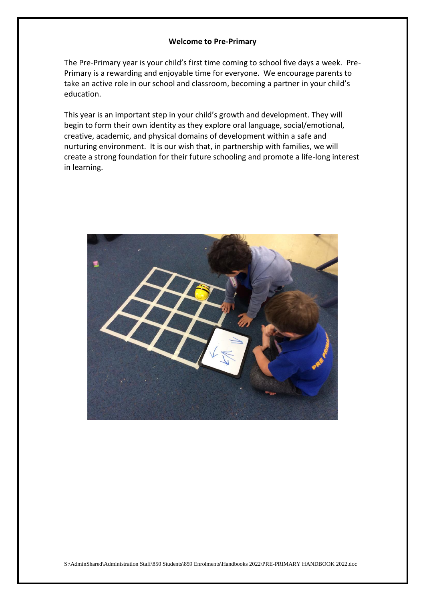#### **Welcome to Pre-Primary**

The Pre-Primary year is your child's first time coming to school five days a week. Pre-Primary is a rewarding and enjoyable time for everyone. We encourage parents to take an active role in our school and classroom, becoming a partner in your child's education.

This year is an important step in your child's growth and development. They will begin to form their own identity as they explore oral language, social/emotional, creative, academic, and physical domains of development within a safe and nurturing environment. It is our wish that, in partnership with families, we will create a strong foundation for their future schooling and promote a life-long interest in learning.

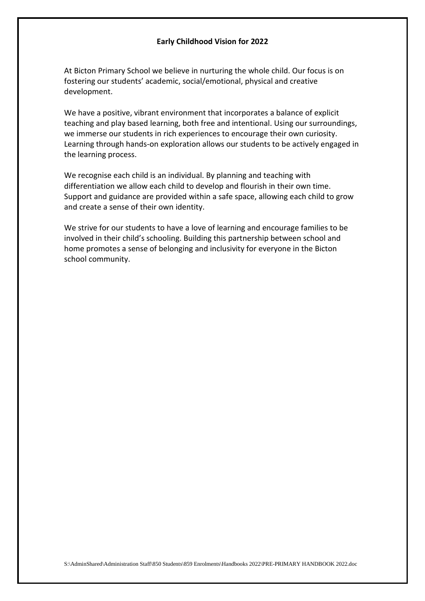#### **Early Childhood Vision for 2022**

At Bicton Primary School we believe in nurturing the whole child. Our focus is on fostering our students' academic, social/emotional, physical and creative development.

We have a positive, vibrant environment that incorporates a balance of explicit teaching and play based learning, both free and intentional. Using our surroundings, we immerse our students in rich experiences to encourage their own curiosity. Learning through hands-on exploration allows our students to be actively engaged in the learning process.

We recognise each child is an individual. By planning and teaching with differentiation we allow each child to develop and flourish in their own time. Support and guidance are provided within a safe space, allowing each child to grow and create a sense of their own identity.

We strive for our students to have a love of learning and encourage families to be involved in their child's schooling. Building this partnership between school and home promotes a sense of belonging and inclusivity for everyone in the Bicton school community.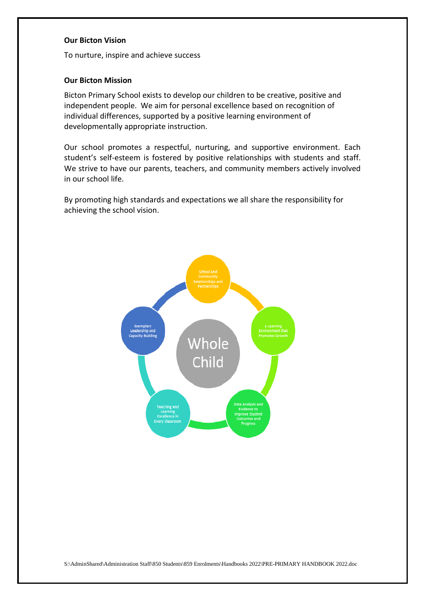#### **Our Bicton Vision**

To nurture, inspire and achieve success

#### **Our Bicton Mission**

Bicton Primary School exists to develop our children to be creative, positive and independent people. We aim for personal excellence based on recognition of individual differences, supported by a positive learning environment of developmentally appropriate instruction.

Our school promotes a respectful, nurturing, and supportive environment. Each student's self-esteem is fostered by positive relationships with students and staff. We strive to have our parents, teachers, and community members actively involved in our school life.

By promoting high standards and expectations we all share the responsibility for achieving the school vision.

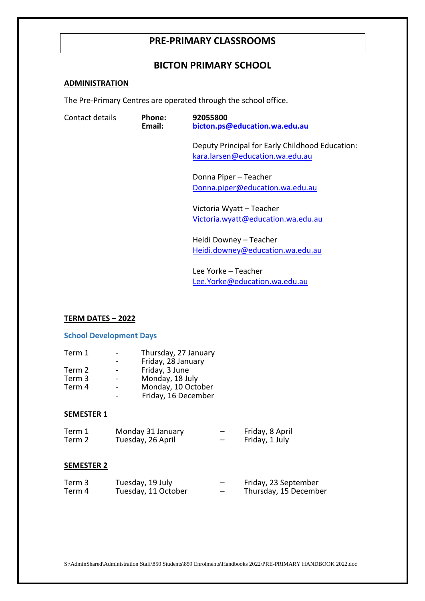# **PRE-PRIMARY CLASSROOMS**

# **BICTON PRIMARY SCHOOL**

## **ADMINISTRATION**

The Pre-Primary Centres are operated through the school office.

| Contact details | Phone:<br>Email: | 92055800<br>bicton.ps@education.wa.edu.au                                          |  |  |
|-----------------|------------------|------------------------------------------------------------------------------------|--|--|
|                 |                  | Deputy Principal for Early Childhood Education:<br>kara.larsen@education.wa.edu.au |  |  |
|                 |                  | Donna Piper - Teacher<br>Donna.piper@education.wa.edu.au                           |  |  |
|                 |                  | Victoria Wyatt - Teacher<br>Victoria.wyatt@education.wa.edu.au                     |  |  |
|                 |                  | Heidi Downey - Teacher<br>Heidi.downey@education.wa.edu.au                         |  |  |
|                 |                  | Lee Yorke - Teacher<br>Lee.Yorke@education.wa.edu.au                               |  |  |

#### **TERM DATES – 2022**

#### **School Development Days**

| Term 1 | Thursday, 27 January |
|--------|----------------------|
|        | Friday, 28 January   |
| Term 2 | Friday, 3 June       |
| Term 3 | Monday, 18 July      |
| Term 4 | Monday, 10 October   |
|        | Friday, 16 December  |

#### **SEMESTER 1**

| Term 1 | Monday 31 January | Friday, 8 April |
|--------|-------------------|-----------------|
| Term 2 | Tuesday, 26 April | Friday, 1 July  |

#### **SEMESTER 2**

| Term 3 | Tuesday, 19 July    |   | Friday, 23 September  |
|--------|---------------------|---|-----------------------|
| Term 4 | Tuesday, 11 October | - | Thursday, 15 December |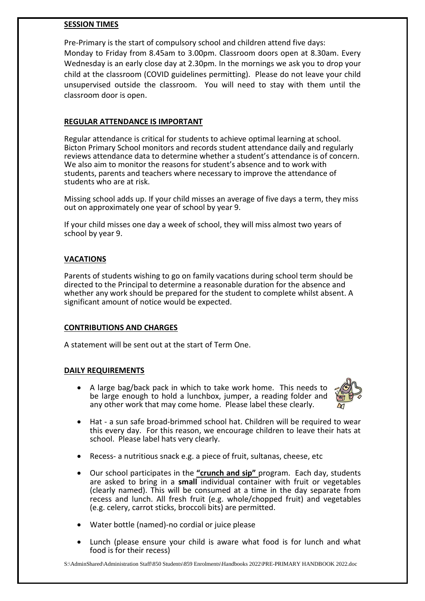# **SESSION TIMES**

Pre-Primary is the start of compulsory school and children attend five days: Monday to Friday from 8.45am to 3.00pm. Classroom doors open at 8.30am. Every Wednesday is an early close day at 2.30pm. In the mornings we ask you to drop your child at the classroom (COVID guidelines permitting). Please do not leave your child unsupervised outside the classroom. You will need to stay with them until the classroom door is open.

# **REGULAR ATTENDANCE IS IMPORTANT**

Regular attendance is critical for students to achieve optimal learning at school. Bicton Primary School monitors and records student attendance daily and regularly reviews attendance data to determine whether a student's attendance is of concern. We also aim to monitor the reasons for student's absence and to work with students, parents and teachers where necessary to improve the attendance of students who are at risk.

Missing school adds up. If your child misses an average of five days a term, they miss out on approximately one year of school by year 9.

If your child misses one day a week of school, they will miss almost two years of school by year 9.

# **VACATIONS**

Parents of students wishing to go on family vacations during school term should be directed to the Principal to determine a reasonable duration for the absence and whether any work should be prepared for the student to complete whilst absent. A significant amount of notice would be expected.

# **CONTRIBUTIONS AND CHARGES**

A statement will be sent out at the start of Term One.

# **DAILY REQUIREMENTS**

 A large bag/back pack in which to take work home. This needs to be large enough to hold a lunchbox, jumper, a reading folder and any other work that may come home. Please label these clearly.



- Hat a sun safe broad-brimmed school hat. Children will be required to wear this every day. For this reason, we encourage children to leave their hats at school. Please label hats very clearly.
- Recess- a nutritious snack e.g. a piece of fruit, sultanas, cheese, etc
- Our school participates in the **"crunch and sip"** program. Each day, students are asked to bring in a **small** individual container with fruit or vegetables (clearly named). This will be consumed at a time in the day separate from recess and lunch. All fresh fruit (e.g. whole/chopped fruit) and vegetables (e.g. celery, carrot sticks, broccoli bits) are permitted.
- Water bottle (named)-no cordial or juice please
- Lunch (please ensure your child is aware what food is for lunch and what food is for their recess)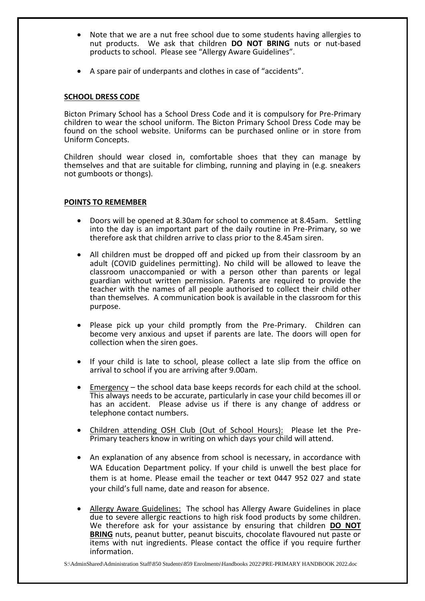- Note that we are a nut free school due to some students having allergies to nut products. We ask that children **DO NOT BRING** nuts or nut-based products to school. Please see "Allergy Aware Guidelines".
- A spare pair of underpants and clothes in case of "accidents".

#### **SCHOOL DRESS CODE**

Bicton Primary School has a School Dress Code and it is compulsory for Pre-Primary children to wear the school uniform. The Bicton Primary School Dress Code may be found on the school website. Uniforms can be purchased online or in store from Uniform Concepts.

Children should wear closed in, comfortable shoes that they can manage by themselves and that are suitable for climbing, running and playing in (e.g. sneakers not gumboots or thongs).

#### **POINTS TO REMEMBER**

- Doors will be opened at 8.30am for school to commence at 8.45am. Settling into the day is an important part of the daily routine in Pre-Primary, so we therefore ask that children arrive to class prior to the 8.45am siren.
- All children must be dropped off and picked up from their classroom by an adult (COVID guidelines permitting). No child will be allowed to leave the classroom unaccompanied or with a person other than parents or legal guardian without written permission. Parents are required to provide the teacher with the names of all people authorised to collect their child other than themselves. A communication book is available in the classroom for this purpose.
- Please pick up your child promptly from the Pre-Primary. Children can become very anxious and upset if parents are late. The doors will open for collection when the siren goes.
- If your child is late to school, please collect a late slip from the office on arrival to school if you are arriving after 9.00am.
- Emergency the school data base keeps records for each child at the school. This always needs to be accurate, particularly in case your child becomes ill or has an accident. Please advise us if there is any change of address or telephone contact numbers.
- Children attending OSH Club (Out of School Hours): Please let the Pre-Primary teachers know in writing on which days your child will attend.
- An explanation of any absence from school is necessary, in accordance with WA Education Department policy. If your child is unwell the best place for them is at home. Please email the teacher or text 0447 952 027 and state your child's full name, date and reason for absence.
- Allergy Aware Guidelines: The school has Allergy Aware Guidelines in place due to severe allergic reactions to high risk food products by some children. We therefore ask for your assistance by ensuring that children **DO NOT BRING** nuts, peanut butter, peanut biscuits, chocolate flavoured nut paste or items with nut ingredients. Please contact the office if you require further information.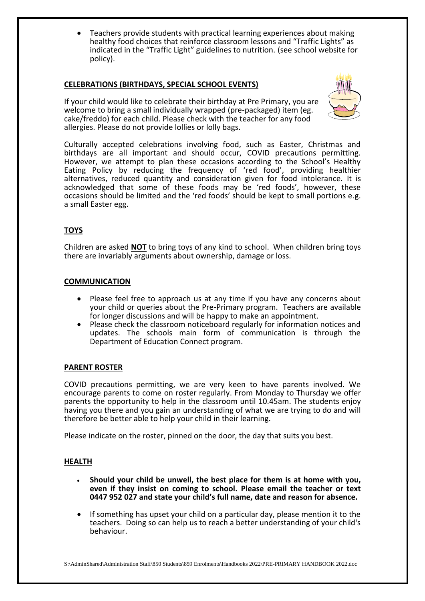Teachers provide students with practical learning experiences about making healthy food choices that reinforce classroom lessons and "Traffic Lights" as indicated in the "Traffic Light" guidelines to nutrition. (see school website for policy).

# **CELEBRATIONS (BIRTHDAYS, SPECIAL SCHOOL EVENTS)**

If your child would like to celebrate their birthday at Pre Primary, you are welcome to bring a small individually wrapped (pre-packaged) item (eg. cake/freddo) for each child. Please check with the teacher for any food allergies. Please do not provide lollies or lolly bags.



Culturally accepted celebrations involving food, such as Easter, Christmas and birthdays are all important and should occur, COVID precautions permitting. However, we attempt to plan these occasions according to the School's Healthy Eating Policy by reducing the frequency of 'red food', providing healthier alternatives, reduced quantity and consideration given for food intolerance. It is acknowledged that some of these foods may be 'red foods', however, these occasions should be limited and the 'red foods' should be kept to small portions e.g. a small Easter egg.

# **TOYS**

Children are asked **NOT** to bring toys of any kind to school. When children bring toys there are invariably arguments about ownership, damage or loss.

# **COMMUNICATION**

- Please feel free to approach us at any time if you have any concerns about your child or queries about the Pre-Primary program. Teachers are available for longer discussions and will be happy to make an appointment.
- Please check the classroom noticeboard regularly for information notices and updates. The schools main form of communication is through the Department of Education Connect program.

# **PARENT ROSTER**

COVID precautions permitting, we are very keen to have parents involved. We encourage parents to come on roster regularly. From Monday to Thursday we offer parents the opportunity to help in the classroom until 10.45am. The students enjoy having you there and you gain an understanding of what we are trying to do and will therefore be better able to help your child in their learning.

Please indicate on the roster, pinned on the door, the day that suits you best.

# **HEALTH**

- **Should your child be unwell, the best place for them is at home with you, even if they insist on coming to school. Please email the teacher or text 0447 952 027 and state your child's full name, date and reason for absence.**
- If something has upset your child on a particular day, please mention it to the teachers. Doing so can help us to reach a better understanding of your child's behaviour.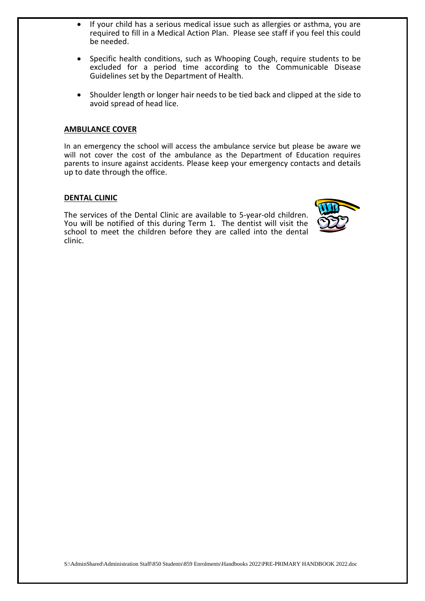- If your child has a serious medical issue such as allergies or asthma, you are required to fill in a Medical Action Plan. Please see staff if you feel this could be needed.
- Specific health conditions, such as Whooping Cough, require students to be excluded for a period time according to the Communicable Disease Guidelines set by the Department of Health.
- Shoulder length or longer hair needs to be tied back and clipped at the side to avoid spread of head lice.

#### **AMBULANCE COVER**

In an emergency the school will access the ambulance service but please be aware we will not cover the cost of the ambulance as the Department of Education requires parents to insure against accidents. Please keep your emergency contacts and details up to date through the office.

#### **DENTAL CLINIC**

The services of the Dental Clinic are available to 5-year-old children. You will be notified of this during Term 1. The dentist will visit the school to meet the children before they are called into the dental clinic.

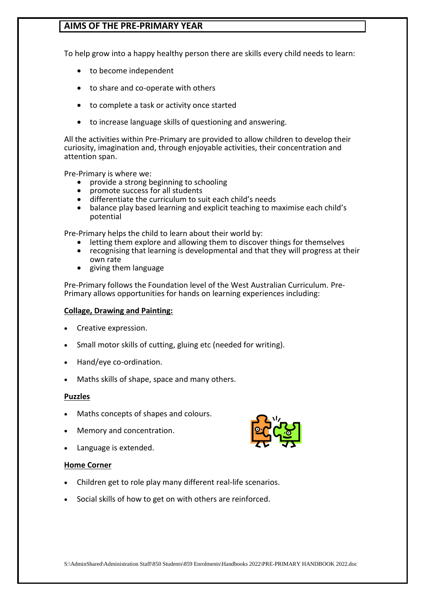# **AIMS OF THE PRE-PRIMARY YEAR**

To help grow into a happy healthy person there are skills every child needs to learn:

- to become independent
- to share and co-operate with others
- to complete a task or activity once started
- to increase language skills of questioning and answering.

All the activities within Pre-Primary are provided to allow children to develop their curiosity, imagination and, through enjoyable activities, their concentration and attention span.

Pre-Primary is where we:

- provide a strong beginning to schooling
- promote success for all students
- differentiate the curriculum to suit each child's needs
- balance play based learning and explicit teaching to maximise each child's potential

Pre-Primary helps the child to learn about their world by:

- letting them explore and allowing them to discover things for themselves
- recognising that learning is developmental and that they will progress at their own rate
- giving them language

Pre-Primary follows the Foundation level of the West Australian Curriculum. Pre-Primary allows opportunities for hands on learning experiences including:

# **Collage, Drawing and Painting:**

- Creative expression.
- Small motor skills of cutting, gluing etc (needed for writing).
- Hand/eye co-ordination.
- Maths skills of shape, space and many others.

# **Puzzles**

- Maths concepts of shapes and colours.
- Memory and concentration.
- Language is extended.

# **Home Corner**

- Children get to role play many different real-life scenarios.
- Social skills of how to get on with others are reinforced.